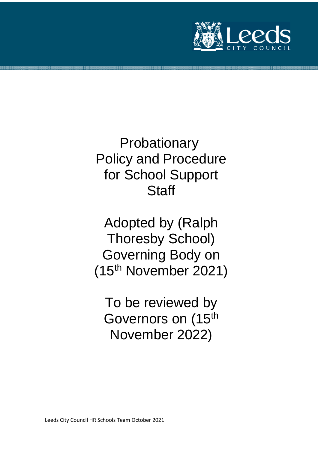

Probationary Policy and Procedure for School Support **Staff** 

Adopted by (Ralph Thoresby School) Governing Body on (15th November 2021)

To be reviewed by Governors on (15<sup>th</sup> November 2022)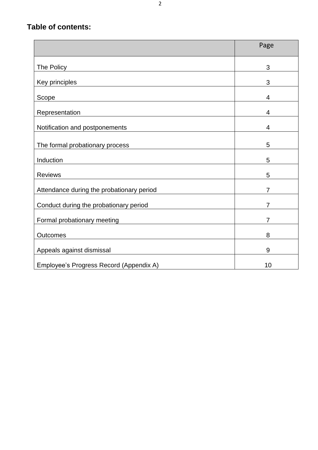## **Table of contents:**

|                                           | Page           |
|-------------------------------------------|----------------|
| The Policy                                | 3              |
| Key principles                            | 3              |
| Scope                                     | 4              |
| Representation                            | 4              |
| Notification and postponements            | 4              |
| The formal probationary process           | 5              |
| Induction                                 | 5              |
| <b>Reviews</b>                            | 5              |
| Attendance during the probationary period | $\overline{7}$ |
| Conduct during the probationary period    | 7              |
| Formal probationary meeting               | $\overline{7}$ |
| <b>Outcomes</b>                           | 8              |
| Appeals against dismissal                 | 9              |
| Employee's Progress Record (Appendix A)   | 10             |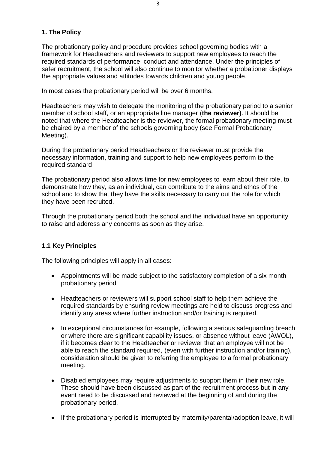## **1. The Policy**

The probationary policy and procedure provides school governing bodies with a framework for Headteachers and reviewers to support new employees to reach the required standards of performance, conduct and attendance. Under the principles of safer recruitment, the school will also continue to monitor whether a probationer displays the appropriate values and attitudes towards children and young people.

In most cases the probationary period will be over 6 months.

Headteachers may wish to delegate the monitoring of the probationary period to a senior member of school staff, or an appropriate line manager (**the reviewer)**. It should be noted that where the Headteacher is the reviewer, the formal probationary meeting must be chaired by a member of the schools governing body (see Formal Probationary Meeting).

During the probationary period Headteachers or the reviewer must provide the necessary information, training and support to help new employees perform to the required standard

The probationary period also allows time for new employees to learn about their role, to demonstrate how they, as an individual, can contribute to the aims and ethos of the school and to show that they have the skills necessary to carry out the role for which they have been recruited.

Through the probationary period both the school and the individual have an opportunity to raise and address any concerns as soon as they arise.

## **1.1 Key Principles**

The following principles will apply in all cases:

- Appointments will be made subject to the satisfactory completion of a six month probationary period
- Headteachers or reviewers will support school staff to help them achieve the required standards by ensuring review meetings are held to discuss progress and identify any areas where further instruction and/or training is required.
- In exceptional circumstances for example, following a serious safeguarding breach or where there are significant capability issues, or absence without leave (AWOL), if it becomes clear to the Headteacher or reviewer that an employee will not be able to reach the standard required, (even with further instruction and/or training), consideration should be given to referring the employee to a formal probationary meeting.
- Disabled employees may require adjustments to support them in their new role. These should have been discussed as part of the recruitment process but in any event need to be discussed and reviewed at the beginning of and during the probationary period.
- If the probationary period is interrupted by maternity/parental/adoption leave, it will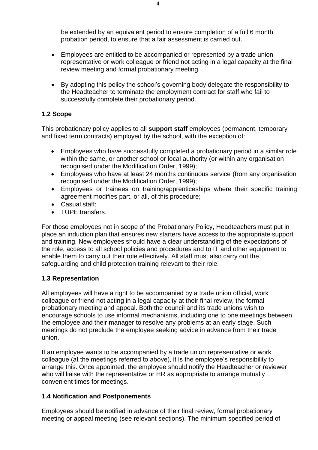be extended by an equivalent period to ensure completion of a full 6 month probation period, to ensure that a fair assessment is carried out.

- Employees are entitled to be accompanied or represented by a trade union representative or work colleague or friend not acting in a legal capacity at the final review meeting and formal probationary meeting.
- By adopting this policy the school's governing body delegate the responsibility to the Headteacher to terminate the employment contract for staff who fail to successfully complete their probationary period.

## **1.2 Scope**

This probationary policy applies to all **support staff** employees (permanent, temporary and fixed term contracts) employed by the school, with the exception of:

- Employees who have successfully completed a probationary period in a similar role within the same, or another school or local authority (or within any organisation recognised under the Modification Order, 1999);
- Employees who have at least 24 months continuous service (from any organisation recognised under the Modification Order, 1999);
- Employees or trainees on training/apprenticeships where their specific training agreement modifies part, or all, of this procedure;
- Casual staff:
- TUPE transfers.

For those employees not in scope of the Probationary Policy, Headteachers must put in place an induction plan that ensures new starters have access to the appropriate support and training. New employees should have a clear understanding of the expectations of the role, access to all school policies and procedures and to IT and other equipment to enable them to carry out their role effectively. All staff must also carry out the safeguarding and child protection training relevant to their role.

## **1.3 Representation**

All employees will have a right to be accompanied by a trade union official, work colleague or friend not acting in a legal capacity at their final review, the formal probationary meeting and appeal. Both the council and its trade unions wish to encourage schools to use informal mechanisms, including one to one meetings between the employee and their manager to resolve any problems at an early stage. Such meetings do not preclude the employee seeking advice in advance from their trade union.

If an employee wants to be accompanied by a trade union representative or work colleague (at the meetings referred to above), it is the employee's responsibility to arrange this. Once appointed, the employee should notify the Headteacher or reviewer who will liaise with the representative or HR as appropriate to arrange mutually convenient times for meetings.

## **1.4 Notification and Postponements**

Employees should be notified in advance of their final review, formal probationary meeting or appeal meeting (see relevant sections). The minimum specified period of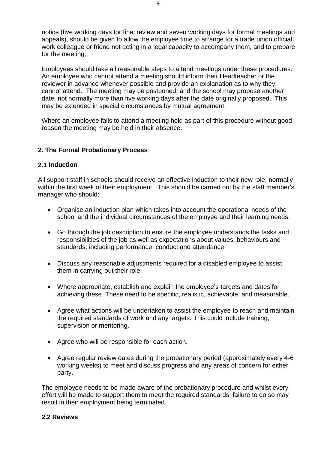notice (five working days for final review and seven working days for formal meetings and appeals), should be given to allow the employee time to arrange for a trade union official, work colleague or friend not acting in a legal capacity to accompany them, and to prepare for the meeting.

Employees should take all reasonable steps to attend meetings under these procedures. An employee who cannot attend a meeting should inform their Headteacher or the reviewer in advance whenever possible and provide an explanation as to why they cannot attend. The meeting may be postponed, and the school may propose another date, not normally more than five working days after the date originally proposed. This may be extended in special circumstances by mutual agreement.

Where an employee fails to attend a meeting held as part of this procedure without good reason the meeting may be held in their absence.

## **2. The Formal Probationary Process**

#### **2.1 Induction**

All support staff in schools should receive an effective induction to their new role, normally within the first week of their employment. This should be carried out by the staff member's manager who should:

- Organise an induction plan which takes into account the operational needs of the school and the individual circumstances of the employee and their learning needs.
- Go through the job description to ensure the employee understands the tasks and responsibilities of the job as well as expectations about values, behaviours and standards, including performance, conduct and attendance.
- Discuss any reasonable adjustments required for a disabled employee to assist them in carrying out their role.
- Where appropriate, establish and explain the employee's targets and dates for achieving these. These need to be specific, realistic, achievable, and measurable.
- Agree what actions will be undertaken to assist the employee to reach and maintain the required standards of work and any targets. This could include training, supervision or mentoring.
- Agree who will be responsible for each action.
- Agree regular review dates during the probationary period (approximately every 4-6 working weeks) to meet and discuss progress and any areas of concern for either party.

The employee needs to be made aware of the probationary procedure and whilst every effort will be made to support them to meet the required standards, failure to do so may result in their employment being terminated.

#### **2.2 Reviews**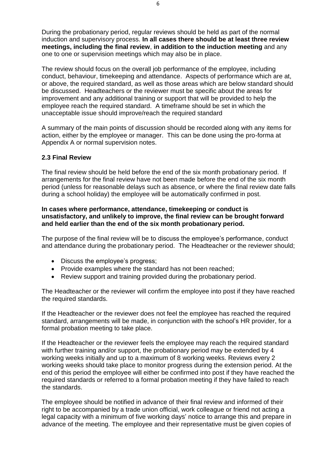During the probationary period, regular reviews should be held as part of the normal induction and supervisory process. **In all cases there should be at least three review meetings, including the final review**, **in addition to the induction meeting** and any one to one or supervision meetings which may also be in place.

The review should focus on the overall job performance of the employee, including conduct, behaviour, timekeeping and attendance. Aspects of performance which are at, or above, the required standard, as well as those areas which are below standard should be discussed. Headteachers or the reviewer must be specific about the areas for improvement and any additional training or support that will be provided to help the employee reach the required standard. A timeframe should be set in which the unacceptable issue should improve/reach the required standard

A summary of the main points of discussion should be recorded along with any items for action, either by the employee or manager. This can be done using the pro-forma at Appendix A or normal supervision notes.

#### **2.3 Final Review**

The final review should be held before the end of the six month probationary period. If arrangements for the final review have not been made before the end of the six month period (unless for reasonable delays such as absence, or where the final review date falls during a school holiday) the employee will be automatically confirmed in post.

#### **In cases where performance, attendance, timekeeping or conduct is unsatisfactory, and unlikely to improve, the final review can be brought forward and held earlier than the end of the six month probationary period.**

The purpose of the final review will be to discuss the employee's performance, conduct and attendance during the probationary period. The Headteacher or the reviewer should;

- Discuss the employee's progress;
- Provide examples where the standard has not been reached;
- Review support and training provided during the probationary period.

The Headteacher or the reviewer will confirm the employee into post if they have reached the required standards.

If the Headteacher or the reviewer does not feel the employee has reached the required standard, arrangements will be made, in conjunction with the school's HR provider, for a formal probation meeting to take place.

If the Headteacher or the reviewer feels the employee may reach the required standard with further training and/or support, the probationary period may be extended by 4 working weeks initially and up to a maximum of 8 working weeks. Reviews every 2 working weeks should take place to monitor progress during the extension period. At the end of this period the employee will either be confirmed into post if they have reached the required standards or referred to a formal probation meeting if they have failed to reach the standards.

The employee should be notified in advance of their final review and informed of their right to be accompanied by a trade union official, work colleague or friend not acting a legal capacity with a minimum of five working days' notice to arrange this and prepare in advance of the meeting. The employee and their representative must be given copies of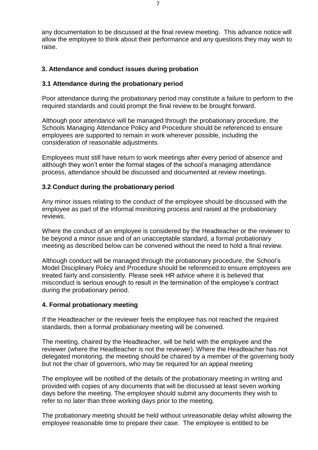any documentation to be discussed at the final review meeting. This advance notice will allow the employee to think about their performance and any questions they may wish to raise.

## **3. Attendance and conduct issues during probation**

### **3.1 Attendance during the probationary period**

Poor attendance during the probationary period may constitute a failure to perform to the required standards and could prompt the final review to be brought forward.

Although poor attendance will be managed through the probationary procedure, the Schools Managing Attendance Policy and Procedure should be referenced to ensure employees are supported to remain in work wherever possible, including the consideration of reasonable adjustments.

Employees must still have return to work meetings after every period of absence and although they won't enter the formal stages of the school's managing attendance process, attendance should be discussed and documented at review meetings.

## **3.2 Conduct during the probationary period**

Any minor issues relating to the conduct of the employee should be discussed with the employee as part of the informal monitoring process and raised at the probationary reviews.

Where the conduct of an employee is considered by the Headteacher or the reviewer to be beyond a minor issue and of an unacceptable standard, a formal probationary meeting as described below can be convened without the need to hold a final review.

Although conduct will be managed through the probationary procedure, the School's Model Disciplinary Policy and Procedure should be referenced to ensure employees are treated fairly and consistently. Please seek HR advice where it is believed that misconduct is serious enough to result in the termination of the employee's contract during the probationary period.

## **4. Formal probationary meeting**

If the Headteacher or the reviewer feels the employee has not reached the required standards, then a formal probationary meeting will be convened.

The meeting, chaired by the Headteacher, will be held with the employee and the reviewer (where the Headteacher is not the reviewer). Where the Headteacher has not delegated monitoring, the meeting should be chaired by a member of the governing body but not the chair of governors, who may be required for an appeal meeting

The employee will be notified of the details of the probationary meeting in writing and provided with copies of any documents that will be discussed at least seven working days before the meeting. The employee should submit any documents they wish to refer to no later than three working days prior to the meeting.

The probationary meeting should be held without unreasonable delay whilst allowing the employee reasonable time to prepare their case. The employee is entitled to be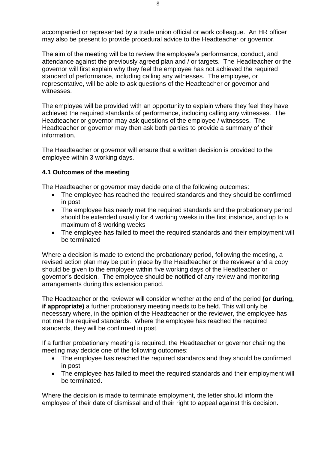accompanied or represented by a trade union official or work colleague. An HR officer may also be present to provide procedural advice to the Headteacher or governor.

The aim of the meeting will be to review the employee's performance, conduct, and attendance against the previously agreed plan and / or targets. The Headteacher or the governor will first explain why they feel the employee has not achieved the required standard of performance, including calling any witnesses. The employee, or representative, will be able to ask questions of the Headteacher or governor and witnesses.

The employee will be provided with an opportunity to explain where they feel they have achieved the required standards of performance, including calling any witnesses. The Headteacher or governor may ask questions of the employee / witnesses. The Headteacher or governor may then ask both parties to provide a summary of their information.

The Headteacher or governor will ensure that a written decision is provided to the employee within 3 working days.

## **4.1 Outcomes of the meeting**

The Headteacher or governor may decide one of the following outcomes:

- The employee has reached the required standards and they should be confirmed in post
- The employee has nearly met the required standards and the probationary period should be extended usually for 4 working weeks in the first instance, and up to a maximum of 8 working weeks
- The employee has failed to meet the required standards and their employment will be terminated

Where a decision is made to extend the probationary period, following the meeting, a revised action plan may be put in place by the Headteacher or the reviewer and a copy should be given to the employee within five working days of the Headteacher or governor's decision. The employee should be notified of any review and monitoring arrangements during this extension period.

The Headteacher or the reviewer will consider whether at the end of the period **(or during, if appropriate)** a further probationary meeting needs to be held. This will only be necessary where, in the opinion of the Headteacher or the reviewer, the employee has not met the required standards. Where the employee has reached the required standards, they will be confirmed in post.

If a further probationary meeting is required, the Headteacher or governor chairing the meeting may decide one of the following outcomes:

- The employee has reached the required standards and they should be confirmed in post
- The employee has failed to meet the required standards and their employment will be terminated.

Where the decision is made to terminate employment, the letter should inform the employee of their date of dismissal and of their right to appeal against this decision.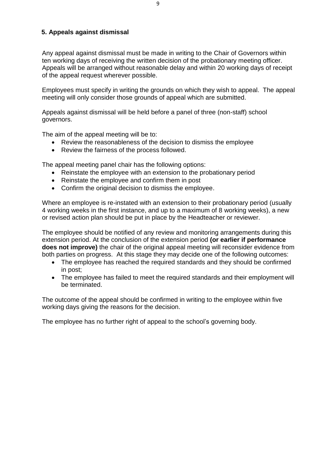## **5. Appeals against dismissal**

Any appeal against dismissal must be made in writing to the Chair of Governors within ten working days of receiving the written decision of the probationary meeting officer. Appeals will be arranged without reasonable delay and within 20 working days of receipt of the appeal request wherever possible.

Employees must specify in writing the grounds on which they wish to appeal. The appeal meeting will only consider those grounds of appeal which are submitted.

Appeals against dismissal will be held before a panel of three (non-staff) school governors.

The aim of the appeal meeting will be to:

- Review the reasonableness of the decision to dismiss the employee
- Review the fairness of the process followed.

The appeal meeting panel chair has the following options:

- Reinstate the employee with an extension to the probationary period
- Reinstate the employee and confirm them in post
- Confirm the original decision to dismiss the employee.

Where an employee is re-instated with an extension to their probationary period (usually 4 working weeks in the first instance, and up to a maximum of 8 working weeks), a new or revised action plan should be put in place by the Headteacher or reviewer.

The employee should be notified of any review and monitoring arrangements during this extension period. At the conclusion of the extension period **(or earlier if performance does not improve)** the chair of the original appeal meeting will reconsider evidence from both parties on progress. At this stage they may decide one of the following outcomes:

- The employee has reached the required standards and they should be confirmed in post;
- The employee has failed to meet the required standards and their employment will be terminated.

The outcome of the appeal should be confirmed in writing to the employee within five working days giving the reasons for the decision.

The employee has no further right of appeal to the school's governing body.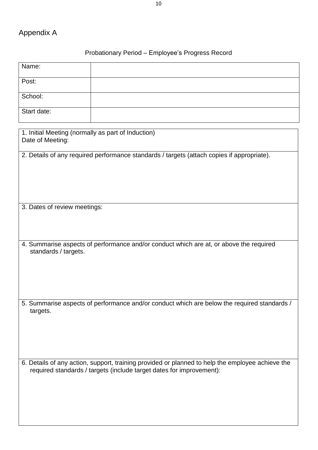# Appendix A

# Probationary Period – Employee's Progress Record

| Name:                                                                                                   |                                                                                                                                                                          |
|---------------------------------------------------------------------------------------------------------|--------------------------------------------------------------------------------------------------------------------------------------------------------------------------|
| Post:                                                                                                   |                                                                                                                                                                          |
| School:                                                                                                 |                                                                                                                                                                          |
| Start date:                                                                                             |                                                                                                                                                                          |
| 1. Initial Meeting (normally as part of Induction)<br>Date of Meeting:                                  |                                                                                                                                                                          |
|                                                                                                         | 2. Details of any required performance standards / targets (attach copies if appropriate).                                                                               |
| 3. Dates of review meetings:                                                                            |                                                                                                                                                                          |
| standards / targets.                                                                                    | 4. Summarise aspects of performance and/or conduct which are at, or above the required                                                                                   |
| 5. Summarise aspects of performance and/or conduct which are below the required standards /<br>targets. |                                                                                                                                                                          |
|                                                                                                         | 6. Details of any action, support, training provided or planned to help the employee achieve the<br>required standards / targets (include target dates for improvement): |